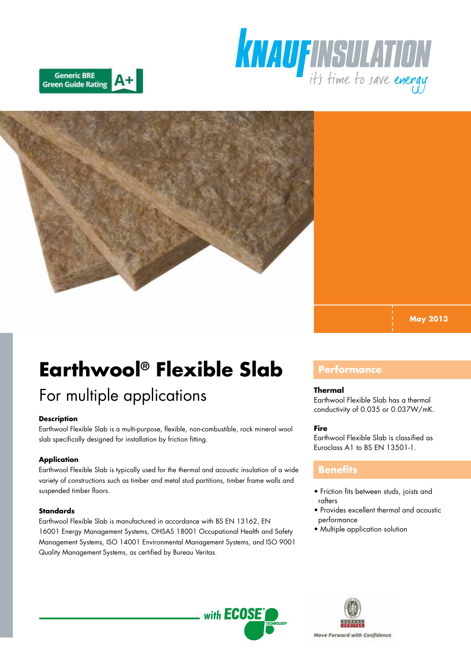





**May 2013**

# **Earthwool® Flexible Slab**

# For multiple applications

# **Description**

Earthwool Flexible Slab is a multi-purpose, flexible, non-combustible, rock mineral wool slab specifically designed for installation by friction fitting.

# **Application**

Earthwool Flexible Slab is typically used for the thermal and acoustic insulation of a wide variety of constructions such as timber and metal stud partitions, timber frame walls and suspended timber floors.

# **Standards**

Earthwool Flexible Slab is manufactured in accordance with BS EN 13162, EN 16001 Energy Management Systems, OHSAS 18001 Occupational Health and Safety Management Systems, ISO 14001 Environmental Management Systems, and ISO 9001 Quality Management Systems, as certified by Bureau Veritas.

# **Performance**

#### **Thermal**

Earthwool Flexible Slab has a thermal conductivity of 0.035 or 0.037W/mK.

# **Fire**

Earthwool Flexible Slab is classified as Euroclass A1 to BS EN 13501-1.

# **Benefits**

- Friction fits between studs, joists and rafters
- Provides excellent thermal and acoustic performance
- Multiple application solution